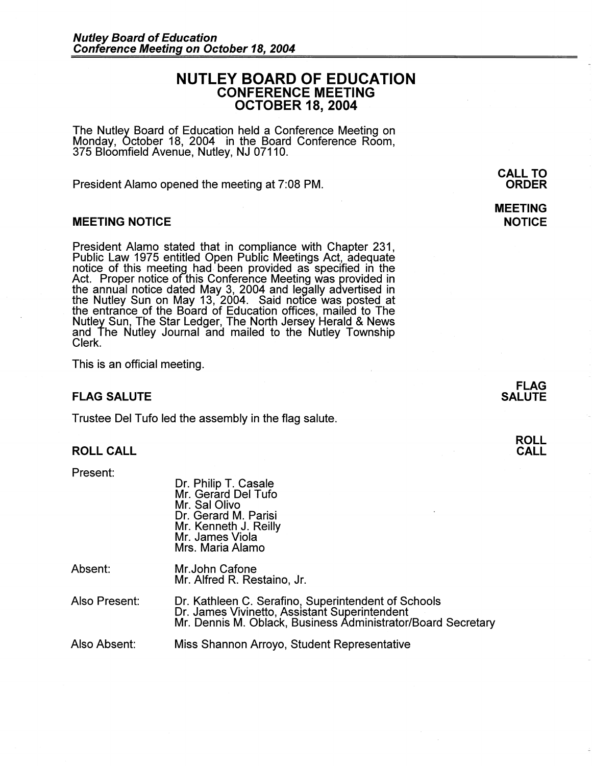# **NUTLEY BOARD OF EDUCATION CONFERENCE MEETING OCTOBER 18, 2004**

The Nutley Board of Education held a Conference Meeting on Monday, October 18, 2004 in the Board Conference Room, 375 Bloomfield Avenue, Nutley, NJ 07110.

President Alamo opened the meeting at 7:08 PM.

## **MEETING NOTICE**

President Alamo stated that in compliance with Chapter 231, Public Law 1975 entitled Open Public Meetings Act, adequate notice of this meeting had been provided as specified in the Act. Proper notice of this Conference Meeting was provided in the annual notice dated May 3, 2004 and legally advertised in the Nutley Sun on May 13, 2004. Said notice was posted at the entrance of the Board of Education offices, mailed to The Nutley Sun, The Star Ledger, The North Jersey Herald & News and The Nutley Journal and mailed to the Nutley Township Clerk.

This is an official meeting.

## **FLAG SALUTE**

Trustee Del Tufo led the assembly in the flag salute.

# **ROLL CALL**

Present:

| Dr. Philip T. Casale  |  |
|-----------------------|--|
| Mr. Gerard Del Tufo   |  |
| Mr. Sal Olivo         |  |
| Dr. Gerard M. Parisi  |  |
| Mr. Kenneth J. Reilly |  |
| Mr. James Viola       |  |
| Mrs. Maria Alamo      |  |

| Absent: | Mr. John Cafone             |
|---------|-----------------------------|
|         | Mr. Alfred R. Restaino, Jr. |

| Also Present: | Dr. Kathleen C. Serafino, Superintendent of Schools          |
|---------------|--------------------------------------------------------------|
|               | Dr. James Vivinetto, Assistant Superintendent                |
|               | Mr. Dennis M. Oblack, Business Administrator/Board Secretary |

Also Absent: Miss Shannon Arroyo, Student Representative

**CALL TO ORDER** 

# **MEETING NOTICE**

**FLAG SALUTE** 

> **ROLL CALL**